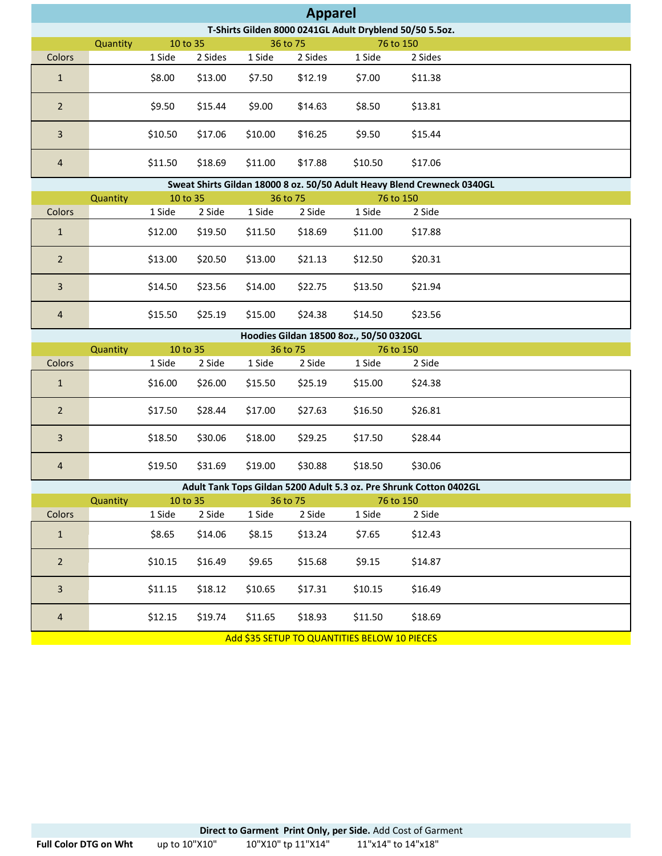|                                                         | <b>Apparel</b> |         |          |          |         |           |         |  |  |  |  |
|---------------------------------------------------------|----------------|---------|----------|----------|---------|-----------|---------|--|--|--|--|
| T-Shirts Gilden 8000 0241GL Adult Dryblend 50/50 5.5oz. |                |         |          |          |         |           |         |  |  |  |  |
|                                                         | Quantity       |         | 10 to 35 | 36 to 75 |         | 76 to 150 |         |  |  |  |  |
| Colors                                                  |                | 1 Side  | 2 Sides  | 1 Side   | 2 Sides | 1 Side    | 2 Sides |  |  |  |  |
| $\mathbf{1}$                                            |                | \$8.00  | \$13.00  | \$7.50   | \$12.19 | \$7.00    | \$11.38 |  |  |  |  |
| $\overline{2}$                                          |                | \$9.50  | \$15.44  | \$9.00   | \$14.63 | \$8.50    | \$13.81 |  |  |  |  |
| 3                                                       |                | \$10.50 | \$17.06  | \$10.00  | \$16.25 | \$9.50    | \$15.44 |  |  |  |  |
| $\overline{4}$                                          |                | \$11.50 | \$18.69  | \$11.00  | \$17.88 | \$10.50   | \$17.06 |  |  |  |  |

|                | Sweat Shirts Gildan 18000 8 oz. 50/50 Adult Heavy Blend Crewneck 0340GL |         |          |         |          |         |           |  |  |  |  |
|----------------|-------------------------------------------------------------------------|---------|----------|---------|----------|---------|-----------|--|--|--|--|
|                | Quantity                                                                |         | 10 to 35 |         | 36 to 75 |         | 76 to 150 |  |  |  |  |
| Colors         |                                                                         | 1 Side  | 2 Side   | 1 Side  | 2 Side   | 1 Side  | 2 Side    |  |  |  |  |
| $\mathbf{1}$   |                                                                         | \$12.00 | \$19.50  | \$11.50 | \$18.69  | \$11.00 | \$17.88   |  |  |  |  |
| $\overline{2}$ |                                                                         | \$13.00 | \$20.50  | \$13.00 | \$21.13  | \$12.50 | \$20.31   |  |  |  |  |
| 3              |                                                                         | \$14.50 | \$23.56  | \$14.00 | \$22.75  | \$13.50 | \$21.94   |  |  |  |  |
| $\overline{4}$ |                                                                         | \$15.50 | \$25.19  | \$15.00 | \$24.38  | \$14.50 | \$23.56   |  |  |  |  |

|                | Hoodies Gildan 18500 8oz., 50/50 0320GL |          |         |          |         |           |         |  |  |  |  |
|----------------|-----------------------------------------|----------|---------|----------|---------|-----------|---------|--|--|--|--|
|                | Quantity                                | 10 to 35 |         | 36 to 75 |         | 76 to 150 |         |  |  |  |  |
| Colors         |                                         | 1 Side   | 2 Side  | 1 Side   | 2 Side  | 1 Side    | 2 Side  |  |  |  |  |
| $\mathbf{1}$   |                                         | \$16.00  | \$26.00 | \$15.50  | \$25.19 | \$15.00   | \$24.38 |  |  |  |  |
| $\overline{2}$ |                                         | \$17.50  | \$28.44 | \$17.00  | \$27.63 | \$16.50   | \$26.81 |  |  |  |  |
| 3              |                                         | \$18.50  | \$30.06 | \$18.00  | \$29.25 | \$17.50   | \$28.44 |  |  |  |  |
| $\overline{4}$ |                                         | \$19.50  | \$31.69 | \$19.00  | \$30.88 | \$18.50   | \$30.06 |  |  |  |  |

|                                              | Adult Tank Tops Gildan 5200 Adult 5.3 oz. Pre Shrunk Cotton 0402GL |         |          |          |         |         |           |  |  |  |  |
|----------------------------------------------|--------------------------------------------------------------------|---------|----------|----------|---------|---------|-----------|--|--|--|--|
|                                              | Quantity                                                           |         | 10 to 35 | 36 to 75 |         |         | 76 to 150 |  |  |  |  |
| Colors                                       |                                                                    | 1 Side  | 2 Side   | 1 Side   | 2 Side  | 1 Side  | 2 Side    |  |  |  |  |
| $\mathbf{1}$                                 |                                                                    | \$8.65  | \$14.06  | \$8.15   | \$13.24 | \$7.65  | \$12.43   |  |  |  |  |
| 2                                            |                                                                    | \$10.15 | \$16.49  | \$9.65   | \$15.68 | \$9.15  | \$14.87   |  |  |  |  |
| $\overline{3}$                               |                                                                    | \$11.15 | \$18.12  | \$10.65  | \$17.31 | \$10.15 | \$16.49   |  |  |  |  |
| $\overline{4}$                               |                                                                    | \$12.15 | \$19.74  | \$11.65  | \$18.93 | \$11.50 | \$18.69   |  |  |  |  |
| Add \$35 SETUP TO QUANTITIES BELOW 10 PIECES |                                                                    |         |          |          |         |         |           |  |  |  |  |

**Direct to Garment Print Only, per Side.** Add Cost of Garment<br>up to  $10"X10"$   $10"X10"$  tp  $11"X14"$   $11"X14"$  to  $14"X18"$ Full Color DTG on Wht up to 10"X10" 10"X10" tp 11"X14" 11"x14" to 14"x18" 10"X10" tp 11"X14"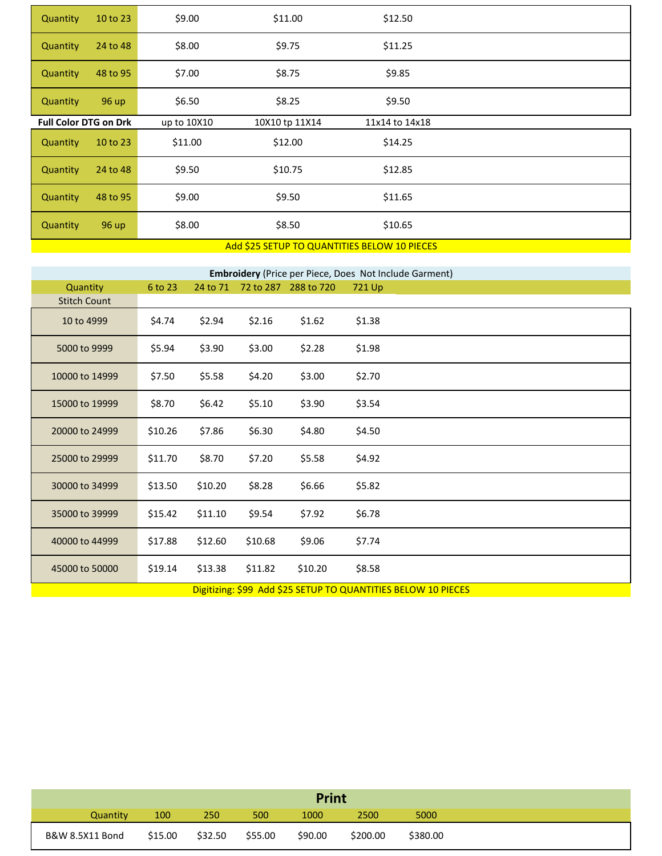| <b>Quantity</b>              | 10 to 23 | \$9.00      | \$11.00                                    | \$12.50        |  |
|------------------------------|----------|-------------|--------------------------------------------|----------------|--|
| Quantity                     | 24 to 48 | \$8.00      | \$9.75                                     | \$11.25        |  |
| Quantity                     | 48 to 95 | \$7.00      | \$8.75                                     | \$9.85         |  |
| Quantity                     | 96 up    | \$6.50      | \$8.25                                     | \$9.50         |  |
| <b>Full Color DTG on Drk</b> |          | up to 10X10 | 10X10 tp 11X14                             | 11x14 to 14x18 |  |
| Quantity                     | 10 to 23 | \$11.00     | \$12.00                                    | \$14.25        |  |
| Quantity                     | 24 to 48 | \$9.50      | \$10.75                                    | \$12.85        |  |
| Quantity                     | 48 to 95 | \$9.00      | \$9.50                                     | \$11.65        |  |
| Quantity                     | 96 up    | \$8.00      | \$8.50                                     | \$10.65        |  |
|                              |          |             | $1140597711272977111777779771911140717070$ |                |  |

## Add \$25 SETUP TO QUANTITIES BELOW 10 PIECES

|                     | <b>Embroidery</b> (Price per Piece, Does Not Include Garment) |          |         |                      |        |  |  |  |  |  |  |
|---------------------|---------------------------------------------------------------|----------|---------|----------------------|--------|--|--|--|--|--|--|
| Quantity            | 6 to 23                                                       | 24 to 71 |         | 72 to 287 288 to 720 | 721 Up |  |  |  |  |  |  |
| <b>Stitch Count</b> |                                                               |          |         |                      |        |  |  |  |  |  |  |
| 10 to 4999          | \$4.74                                                        | \$2.94   | \$2.16  | \$1.62               | \$1.38 |  |  |  |  |  |  |
| 5000 to 9999        | \$5.94                                                        | \$3.90   | \$3.00  | \$2.28               | \$1.98 |  |  |  |  |  |  |
| 10000 to 14999      | \$7.50                                                        | \$5.58   | \$4.20  | \$3.00               | \$2.70 |  |  |  |  |  |  |
| 15000 to 19999      | \$8.70                                                        | \$6.42   | \$5.10  | \$3.90               | \$3.54 |  |  |  |  |  |  |
| 20000 to 24999      | \$10.26                                                       | \$7.86   | \$6.30  | \$4.80               | \$4.50 |  |  |  |  |  |  |
| 25000 to 29999      | \$11.70                                                       | \$8.70   | \$7.20  | \$5.58               | \$4.92 |  |  |  |  |  |  |
| 30000 to 34999      | \$13.50                                                       | \$10.20  | \$8.28  | \$6.66               | \$5.82 |  |  |  |  |  |  |
| 35000 to 39999      | \$15.42                                                       | \$11.10  | \$9.54  | \$7.92               | \$6.78 |  |  |  |  |  |  |
| 40000 to 44999      | \$17.88                                                       | \$12.60  | \$10.68 | \$9.06               | \$7.74 |  |  |  |  |  |  |
| 45000 to 50000      | \$19.14                                                       | \$13.38  | \$11.82 | \$10.20              | \$8.58 |  |  |  |  |  |  |

Digitizing: \$99 Add \$25 SETUP TO QUANTITIES BELOW 10 PIECES

| <b>Print</b>    |         |         |         |         |          |          |  |  |
|-----------------|---------|---------|---------|---------|----------|----------|--|--|
| Quantity        | 100     | 250     | 500     | 1000    | 2500     | 5000     |  |  |
| B&W 8.5X11 Bond | \$15.00 | \$32.50 | \$55.00 | \$90.00 | \$200.00 | \$380.00 |  |  |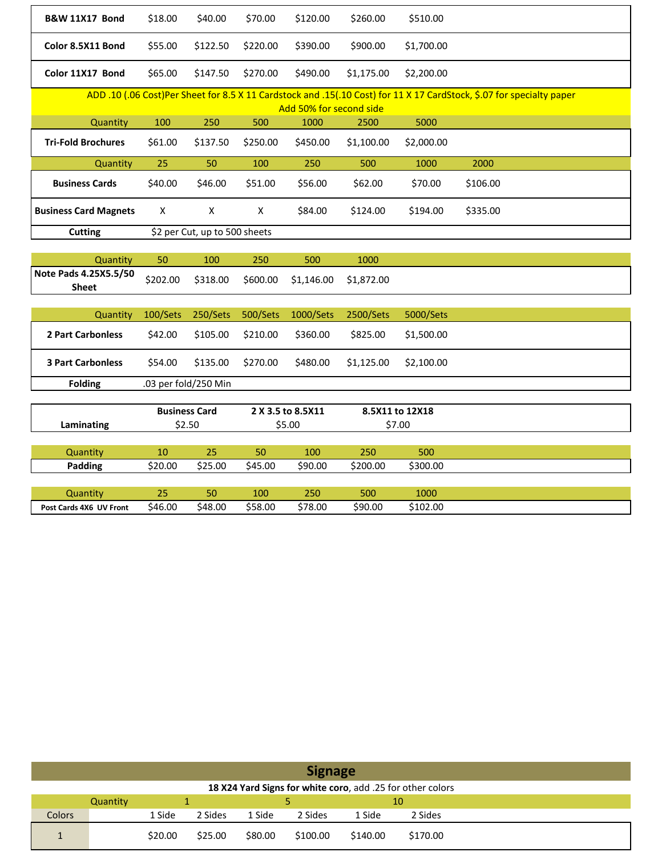| <b>B&amp;W 11X17 Bond</b>             | \$18.00  | \$40.00                       | \$70.00  | \$120.00                        | \$260.00   | \$510.00        |                                                                                                                       |
|---------------------------------------|----------|-------------------------------|----------|---------------------------------|------------|-----------------|-----------------------------------------------------------------------------------------------------------------------|
| Color 8.5X11 Bond                     | \$55.00  | \$122.50                      | \$220.00 | \$390.00                        | \$900.00   | \$1,700.00      |                                                                                                                       |
| Color 11X17 Bond                      | \$65.00  | \$147.50                      | \$270.00 | \$490.00                        | \$1,175.00 | \$2,200.00      |                                                                                                                       |
|                                       |          |                               |          |                                 |            |                 | ADD .10 (.06 Cost)Per Sheet for 8.5 X 11 Cardstock and .15(.10 Cost) for 11 X 17 CardStock, \$.07 for specialty paper |
| Quantity                              | 100      | 250                           | 500      | Add 50% for second side<br>1000 | 2500       | 5000            |                                                                                                                       |
|                                       |          |                               |          |                                 |            |                 |                                                                                                                       |
| <b>Tri-Fold Brochures</b>             | \$61.00  | \$137.50                      | \$250.00 | \$450.00                        | \$1,100.00 | \$2,000.00      |                                                                                                                       |
| Quantity                              | 25       | 50                            | 100      | 250                             | 500        | 1000            | 2000                                                                                                                  |
| <b>Business Cards</b>                 | \$40.00  | \$46.00                       | \$51.00  | \$56.00                         | \$62.00    | \$70.00         | \$106.00                                                                                                              |
| <b>Business Card Magnets</b>          | X        | X                             | X        | \$84.00                         | \$124.00   | \$194.00        | \$335.00                                                                                                              |
| <b>Cutting</b>                        |          | \$2 per Cut, up to 500 sheets |          |                                 |            |                 |                                                                                                                       |
|                                       |          |                               |          |                                 |            |                 |                                                                                                                       |
| Quantity                              | 50       | 100                           | 250      | 500                             | 1000       |                 |                                                                                                                       |
| Note Pads 4.25X5.5/50<br><b>Sheet</b> | \$202.00 | \$318.00                      | \$600.00 | \$1,146.00                      | \$1,872.00 |                 |                                                                                                                       |
|                                       |          |                               |          |                                 |            |                 |                                                                                                                       |
| Quantity                              | 100/Sets | 250/Sets                      | 500/Sets | 1000/Sets                       | 2500/Sets  | 5000/Sets       |                                                                                                                       |
| 2 Part Carbonless                     | \$42.00  | \$105.00                      | \$210.00 | \$360.00                        | \$825.00   | \$1,500.00      |                                                                                                                       |
| <b>3 Part Carbonless</b>              | \$54.00  | \$135.00                      | \$270.00 | \$480.00                        | \$1,125.00 | \$2,100.00      |                                                                                                                       |
| <b>Folding</b>                        |          | .03 per fold/250 Min          |          |                                 |            |                 |                                                                                                                       |
|                                       |          |                               |          |                                 |            |                 |                                                                                                                       |
|                                       |          | <b>Business Card</b>          |          | 2 X 3.5 to 8.5X11               |            | 8.5X11 to 12X18 |                                                                                                                       |
| Laminating                            |          | \$2.50                        |          | \$5.00                          |            | \$7.00          |                                                                                                                       |
| Quantity                              | 10       | 25                            | 50       | 100                             | 250        | 500             |                                                                                                                       |
| Padding                               | \$20.00  | \$25.00                       | \$45.00  | \$90.00                         | \$200.00   | \$300.00        |                                                                                                                       |
|                                       |          |                               |          |                                 |            |                 |                                                                                                                       |
| Quantity                              | 25       | 50                            | 100      | 250                             | 500        | 1000            |                                                                                                                       |
| Post Cards 4X6 UV Front               | \$46.00  | \$48.00                       | \$58.00  | \$78.00                         | \$90.00    | \$102.00        |                                                                                                                       |

|               | <b>Signage</b>                                             |         |         |         |          |          |          |  |  |  |
|---------------|------------------------------------------------------------|---------|---------|---------|----------|----------|----------|--|--|--|
|               | 18 X24 Yard Signs for white coro, add .25 for other colors |         |         |         |          |          |          |  |  |  |
|               | Quantity                                                   |         |         |         |          | 10       |          |  |  |  |
| <b>Colors</b> |                                                            | 1 Side  | 2 Sides | 1 Side  | 2 Sides  | 1 Side   | 2 Sides  |  |  |  |
|               |                                                            | \$20.00 | \$25.00 | \$80.00 | \$100.00 | \$140.00 | \$170.00 |  |  |  |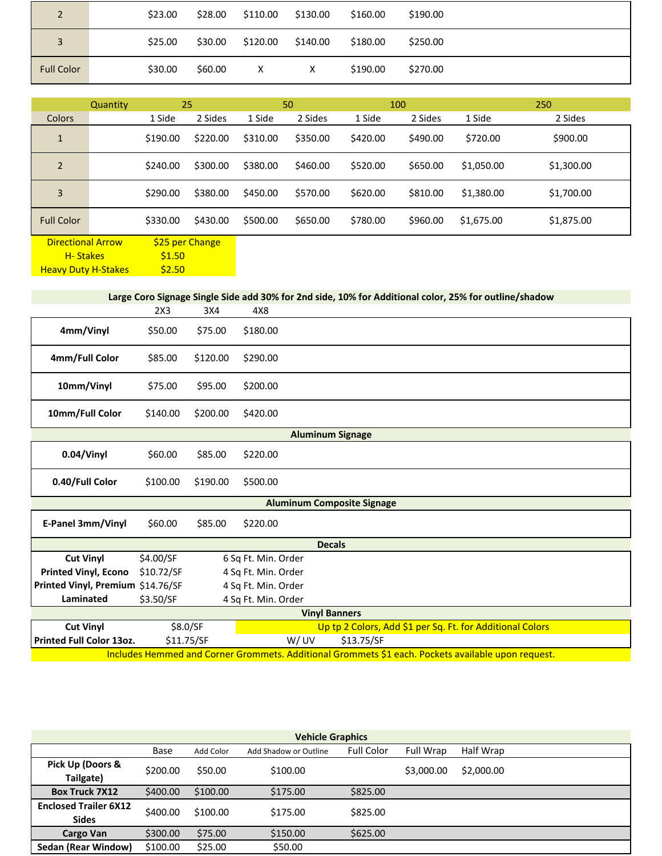| $\overline{2}$    | \$23.00 | \$28.00 | \$110.00 | \$130.00 | \$160.00 | \$190.00 |  |  |
|-------------------|---------|---------|----------|----------|----------|----------|--|--|
| $\overline{3}$    | \$25.00 | \$30.00 | \$120.00 | \$140.00 | \$180.00 | \$250.00 |  |  |
| <b>Full Color</b> | \$30.00 | \$60.00 | $\times$ | X        | \$190.00 | \$270.00 |  |  |

|                          | Quantity |                 | 25       |          | 50       |          | 100      |            | 250        |
|--------------------------|----------|-----------------|----------|----------|----------|----------|----------|------------|------------|
| Colors                   |          | 1 Side          | 2 Sides  | 1 Side   | 2 Sides  | 1 Side   | 2 Sides  | 1 Side     | 2 Sides    |
| $\mathbf{1}$             |          | \$190.00        | \$220.00 | \$310.00 | \$350.00 | \$420.00 | \$490.00 | \$720.00   | \$900.00   |
| $\overline{2}$           |          | \$240.00        | \$300.00 | \$380.00 | \$460.00 | \$520.00 | \$650.00 | \$1,050.00 | \$1,300.00 |
| 3                        |          | \$290.00        | \$380.00 | \$450.00 | \$570.00 | \$620.00 | \$810.00 | \$1,380.00 | \$1,700.00 |
| <b>Full Color</b>        |          | \$330.00        | \$430.00 | \$500.00 | \$650.00 | \$780.00 | \$960.00 | \$1,675.00 | \$1,875.00 |
| <b>Directional Arrow</b> |          | \$25 per Change |          |          |          |          |          |            |            |
| H-Stakes                 |          | \$1.50          |          |          |          |          |          |            |            |

Heavy Duty H-Stakes

\$2.50

**Large Coro Signage Single Side add 30% for 2nd side, 10% for Additional color, 25% for outline/shadow**

|                                   | 2X3        | 3X4      | 4X8                 |                                                                                                    |
|-----------------------------------|------------|----------|---------------------|----------------------------------------------------------------------------------------------------|
| 4mm/Vinyl                         | \$50.00    | \$75.00  | \$180.00            |                                                                                                    |
| 4mm/Full Color                    | \$85.00    | \$120.00 | \$290.00            |                                                                                                    |
| 10mm/Vinyl                        | \$75.00    | \$95.00  | \$200.00            |                                                                                                    |
| 10mm/Full Color                   | \$140.00   | \$200.00 | \$420.00            |                                                                                                    |
|                                   |            |          |                     | <b>Aluminum Signage</b>                                                                            |
| 0.04/Vinyl                        | \$60.00    | \$85.00  | \$220.00            |                                                                                                    |
| 0.40/Full Color                   | \$100.00   | \$190.00 | \$500.00            |                                                                                                    |
|                                   |            |          |                     | <b>Aluminum Composite Signage</b>                                                                  |
| E-Panel 3mm/Vinyl                 | \$60.00    | \$85.00  | \$220.00            |                                                                                                    |
|                                   |            |          |                     | <b>Decals</b>                                                                                      |
| <b>Cut Vinyl</b>                  | \$4.00/SF  |          | 6 Sq Ft. Min. Order |                                                                                                    |
| <b>Printed Vinyl, Econo</b>       | \$10.72/SF |          | 4 Sq Ft. Min. Order |                                                                                                    |
| Printed Vinyl, Premium \$14.76/SF |            |          | 4 Sq Ft. Min. Order |                                                                                                    |
| Laminated                         | \$3.50/SF  |          | 4 Sq Ft. Min. Order |                                                                                                    |
|                                   |            |          |                     | <b>Vinyl Banners</b>                                                                               |
| <b>Cut Vinyl</b>                  | \$8.0/SF   |          |                     | Up tp 2 Colors, Add \$1 per Sq. Ft. for Additional Colors                                          |
| <b>Printed Full Color 13oz.</b>   | \$11.75/SF |          | W/UV                | \$13.75/SF                                                                                         |
|                                   |            |          |                     | Includes Hemmed and Corner Grommets. Additional Grommets \$1 each. Pockets available upon request. |

| <b>Vehicle Graphics</b>      |                                                                                     |          |          |          |            |            |  |  |  |
|------------------------------|-------------------------------------------------------------------------------------|----------|----------|----------|------------|------------|--|--|--|
|                              | <b>Full Color</b><br><b>Full Wrap</b><br>Base<br>Add Color<br>Add Shadow or Outline |          |          |          |            | Half Wrap  |  |  |  |
| Pick Up (Doors &             | \$200.00                                                                            | \$50.00  | \$100.00 |          | \$3,000.00 | \$2,000.00 |  |  |  |
| Tailgate)                    |                                                                                     |          |          |          |            |            |  |  |  |
| <b>Box Truck 7X12</b>        | \$400.00                                                                            | \$100.00 | \$175.00 | \$825.00 |            |            |  |  |  |
| <b>Enclosed Trailer 6X12</b> | \$400.00                                                                            | \$100.00 | \$175.00 | \$825.00 |            |            |  |  |  |
| <b>Sides</b>                 |                                                                                     |          |          |          |            |            |  |  |  |
| Cargo Van                    | \$300.00<br>\$75.00<br>\$150.00                                                     |          | \$625.00 |          |            |            |  |  |  |
| Sedan (Rear Window)          | \$100.00                                                                            | \$25.00  | \$50.00  |          |            |            |  |  |  |